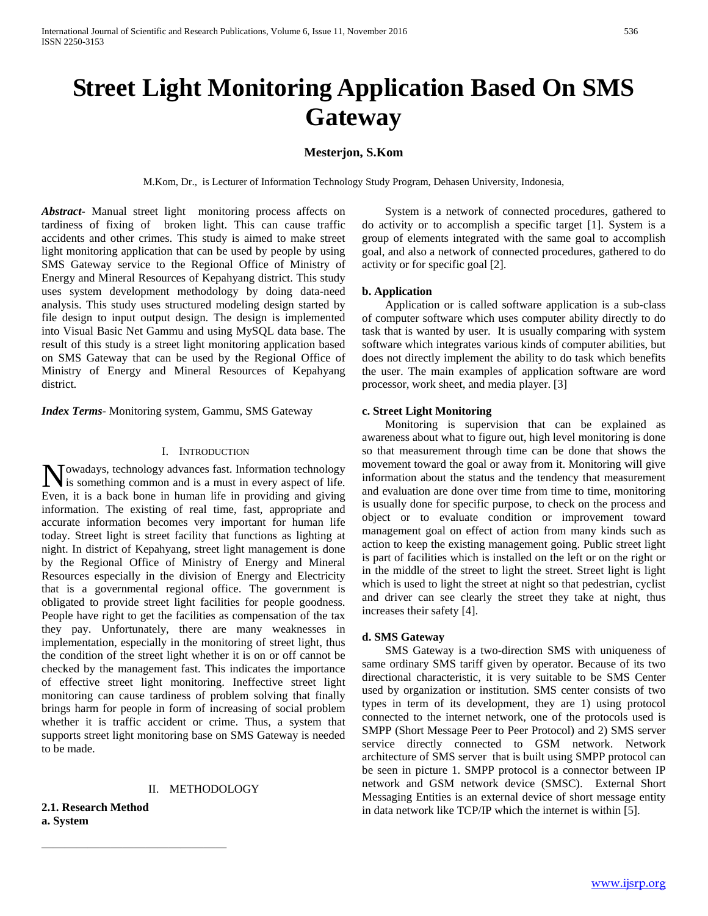# **Street Light Monitoring Application Based On SMS Gateway**

# **Mesterjon, S.Kom**

M.Kom, Dr., is Lecturer of Information Technology Study Program, Dehasen University, Indonesia,

*Abstract***-** Manual street light monitoring process affects on tardiness of fixing of broken light. This can cause traffic accidents and other crimes. This study is aimed to make street light monitoring application that can be used by people by using SMS Gateway service to the Regional Office of Ministry of Energy and Mineral Resources of Kepahyang district. This study uses system development methodology by doing data-need analysis. This study uses structured modeling design started by file design to input output design. The design is implemented into Visual Basic Net Gammu and using MySQL data base. The result of this study is a street light monitoring application based on SMS Gateway that can be used by the Regional Office of Ministry of Energy and Mineral Resources of Kepahyang district.

*Index Terms*- Monitoring system, Gammu, SMS Gateway

#### I. INTRODUCTION

Nowadays, technology advances fast. Information technology<br>is something common and is a must in every aspect of life. is something common and is a must in every aspect of life. Even, it is a back bone in human life in providing and giving information. The existing of real time, fast, appropriate and accurate information becomes very important for human life today. Street light is street facility that functions as lighting at night. In district of Kepahyang, street light management is done by the Regional Office of Ministry of Energy and Mineral Resources especially in the division of Energy and Electricity that is a governmental regional office. The government is obligated to provide street light facilities for people goodness. People have right to get the facilities as compensation of the tax they pay. Unfortunately, there are many weaknesses in implementation, especially in the monitoring of street light, thus the condition of the street light whether it is on or off cannot be checked by the management fast. This indicates the importance of effective street light monitoring. Ineffective street light monitoring can cause tardiness of problem solving that finally brings harm for people in form of increasing of social problem whether it is traffic accident or crime. Thus, a system that supports street light monitoring base on SMS Gateway is needed to be made.

# II. METHODOLOGY

**2.1. Research Method a. System**

————————————————

 System is a network of connected procedures, gathered to do activity or to accomplish a specific target [1]. System is a group of elements integrated with the same goal to accomplish goal, and also a network of connected procedures, gathered to do activity or for specific goal [2].

#### **b. Application**

 Application or is called software application is a sub-class of computer software which uses computer ability directly to do task that is wanted by user. It is usually comparing with system software which integrates various kinds of computer abilities, but does not directly implement the ability to do task which benefits the user. The main examples of application software are word processor, work sheet, and media player. [3]

## **c. Street Light Monitoring**

 Monitoring is supervision that can be explained as awareness about what to figure out, high level monitoring is done so that measurement through time can be done that shows the movement toward the goal or away from it. Monitoring will give information about the status and the tendency that measurement and evaluation are done over time from time to time, monitoring is usually done for specific purpose, to check on the process and object or to evaluate condition or improvement toward management goal on effect of action from many kinds such as action to keep the existing management going. Public street light is part of facilities which is installed on the left or on the right or in the middle of the street to light the street. Street light is light which is used to light the street at night so that pedestrian, cyclist and driver can see clearly the street they take at night, thus increases their safety [4].

#### **d. SMS Gateway**

 SMS Gateway is a two-direction SMS with uniqueness of same ordinary SMS tariff given by operator. Because of its two directional characteristic, it is very suitable to be SMS Center used by organization or institution. SMS center consists of two types in term of its development, they are 1) using protocol connected to the internet network, one of the protocols used is SMPP (Short Message Peer to Peer Protocol) and 2) SMS server service directly connected to GSM network. Network architecture of SMS server that is built using SMPP protocol can be seen in picture 1. SMPP protocol is a connector between IP network and GSM network device (SMSC). External Short Messaging Entities is an external device of short message entity in data network like TCP/IP which the internet is within [5].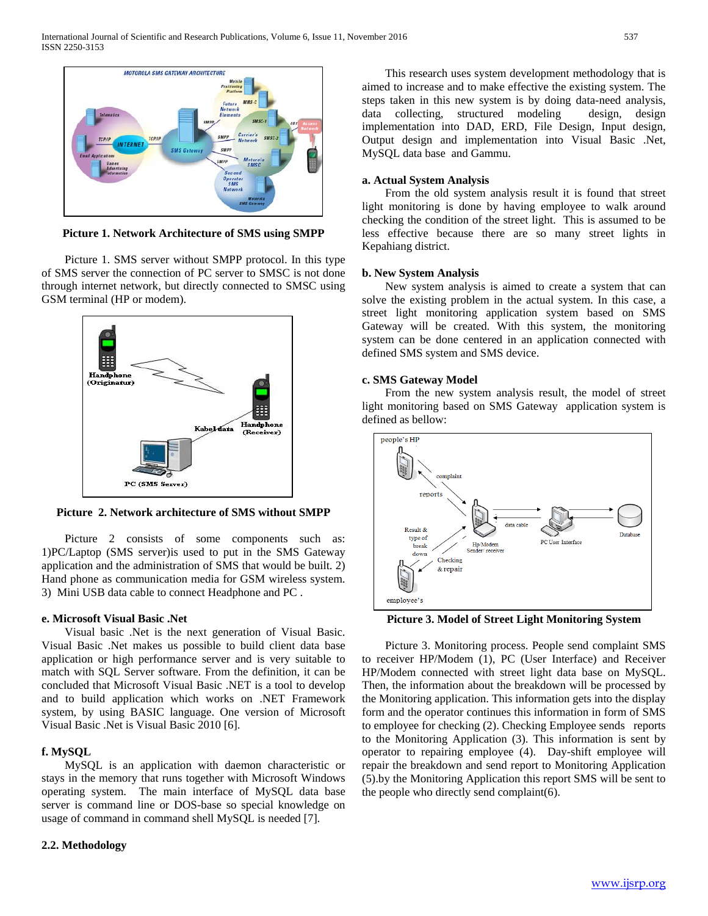

**Picture 1. Network Architecture of SMS using SMPP**

 Picture 1. SMS server without SMPP protocol. In this type of SMS server the connection of PC server to SMSC is not done through internet network, but directly connected to SMSC using GSM terminal (HP or modem).



**Picture 2. Network architecture of SMS without SMPP**

Picture 2 consists of some components such as: 1)PC/Laptop (SMS server)is used to put in the SMS Gateway application and the administration of SMS that would be built. 2) Hand phone as communication media for GSM wireless system. 3) Mini USB data cable to connect Headphone and PC .

#### **e. Microsoft Visual Basic .Net**

 Visual basic .Net is the next generation of Visual Basic. Visual Basic .Net makes us possible to build client data base application or high performance server and is very suitable to match with SQL Server software. From the definition, it can be concluded that Microsoft Visual Basic .NET is a tool to develop and to build application which works on .NET Framework system, by using BASIC language. One version of Microsoft Visual Basic .Net is Visual Basic 2010 [6].

#### **f. MySQL**

 MySQL is an application with daemon characteristic or stays in the memory that runs together with Microsoft Windows operating system. The main interface of MySQL data base server is command line or DOS-base so special knowledge on usage of command in command shell MySQL is needed [7].

#### **2.2. Methodology**

 This research uses system development methodology that is aimed to increase and to make effective the existing system. The steps taken in this new system is by doing data-need analysis, data collecting, structured modeling design, design implementation into DAD, ERD, File Design, Input design, Output design and implementation into Visual Basic .Net, MySQL data base and Gammu.

#### **a. Actual System Analysis**

 From the old system analysis result it is found that street light monitoring is done by having employee to walk around checking the condition of the street light. This is assumed to be less effective because there are so many street lights in Kepahiang district.

## **b. New System Analysis**

 New system analysis is aimed to create a system that can solve the existing problem in the actual system. In this case, a street light monitoring application system based on SMS Gateway will be created. With this system, the monitoring system can be done centered in an application connected with defined SMS system and SMS device.

#### **c. SMS Gateway Model**

 From the new system analysis result, the model of street light monitoring based on SMS Gateway application system is defined as bellow:



**Picture 3. Model of Street Light Monitoring System**

 Picture 3. Monitoring process. People send complaint SMS to receiver HP/Modem (1), PC (User Interface) and Receiver HP/Modem connected with street light data base on MySQL. Then, the information about the breakdown will be processed by the Monitoring application. This information gets into the display form and the operator continues this information in form of SMS to employee for checking (2). Checking Employee sends reports to the Monitoring Application (3). This information is sent by operator to repairing employee (4). Day-shift employee will repair the breakdown and send report to Monitoring Application (5).by the Monitoring Application this report SMS will be sent to the people who directly send complaint(6).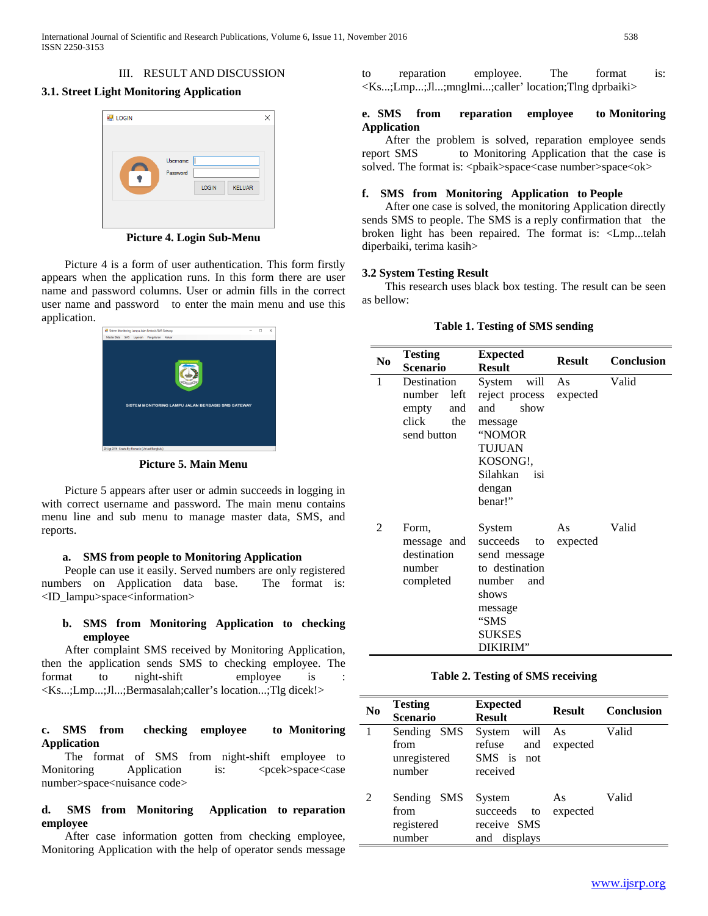## III. RESULT AND DISCUSSION

# **3.1. Street Light Monitoring Application**



**Picture 4. Login Sub-Menu**

 Picture 4 is a form of user authentication. This form firstly appears when the application runs. In this form there are user name and password columns. User or admin fills in the correct user name and password to enter the main menu and use this application.



**Picture 5. Main Menu**

 Picture 5 appears after user or admin succeeds in logging in with correct username and password. The main menu contains menu line and sub menu to manage master data, SMS, and reports.

#### **a. SMS from people to Monitoring Application**

 People can use it easily. Served numbers are only registered numbers on Application data base. The format is: <ID\_lampu>space<information>

# **b. SMS from Monitoring Application to checking employee**

 After complaint SMS received by Monitoring Application, then the application sends SMS to checking employee. The format to night-shift employee is <Ks...;Lmp...;Jl...;Bermasalah;caller's location...;Tlg dicek!>

## **c. SMS from checking employee to Monitoring Application**

 The format of SMS from night-shift employee to Monitoring Application is: <pcek>space<case number>space<nuisance code>

# **d. SMS from Monitoring Application to reparation employee**

 After case information gotten from checking employee, Monitoring Application with the help of operator sends message to reparation employee. The format is: <Ks...;Lmp...;Jl...;mnglmi...;caller' location;Tlng dprbaiki>

# **e. SMS from reparation employee to Monitoring Application**

 After the problem is solved, reparation employee sends report SMS to Monitoring Application that the case is solved. The format is: <pbaik>space<case number>space<ok>

# **f. SMS from Monitoring Application to People**

 After one case is solved, the monitoring Application directly sends SMS to people. The SMS is a reply confirmation that the broken light has been repaired. The format is: <Lmp...telah diperbaiki, terima kasih>

# **3.2 System Testing Result**

 This research uses black box testing. The result can be seen as bellow:

#### **Table 1. Testing of SMS sending**

| N <sub>0</sub> | <b>Testing</b>                                                | <b>Expected</b>                                                                                                                      | <b>Result</b>  | <b>Conclusion</b> |
|----------------|---------------------------------------------------------------|--------------------------------------------------------------------------------------------------------------------------------------|----------------|-------------------|
|                | <b>Scenario</b>                                               | <b>Result</b>                                                                                                                        |                |                   |
| 1              | Destination                                                   | System will                                                                                                                          | As             | Valid             |
|                | number<br>left<br>and<br>empty<br>click<br>the<br>send button | reject process<br>show<br>and<br>message<br>"NOMOR<br>TUJUAN<br>KOSONG!,<br>Silahkan<br>isi<br>dengan<br>benar!"                     | expected       |                   |
| 2              | Form,<br>message and<br>destination<br>number<br>completed    | System<br>succeeds<br>to<br>send message<br>to destination<br>number<br>and<br>shows<br>message<br>"SMS<br><b>SUKSES</b><br>DIKIRIM" | As<br>expected | Valid             |

# **Table 2. Testing of SMS receiving**

| $\bf No$      | <b>Testing</b><br><b>Scenario</b>                     | <b>Expected</b><br><b>Result</b>                             | <b>Result</b>  | <b>Conclusion</b> |
|---------------|-------------------------------------------------------|--------------------------------------------------------------|----------------|-------------------|
|               | Sending SMS<br>from<br>unregistered<br>number         | System<br>will<br>refuse<br>and<br>SMS is<br>not<br>received | As<br>expected | Valid             |
| $\mathcal{L}$ | Sending<br><b>SMS</b><br>from<br>registered<br>number | System<br>succeeds<br>to<br>receive SMS<br>displays<br>and   | As<br>expected | Valid             |